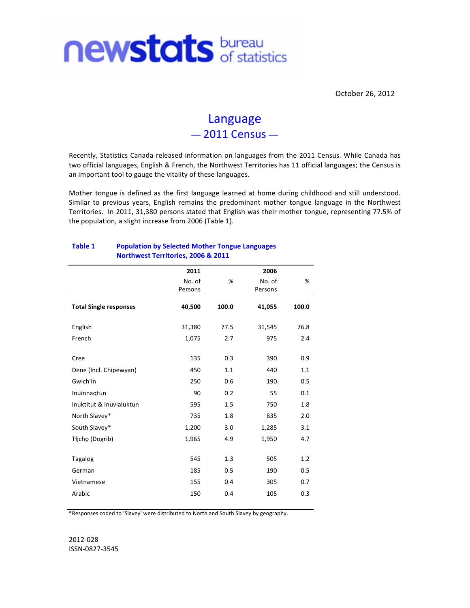

October 26, 2012

# Language  $-2011$  Census  $-$

Recently, Statistics Canada released information on languages from the 2011 Census. While Canada has two official languages, English & French, the Northwest Territories has 11 official languages; the Census is an important tool to gauge the vitality of these languages.

Mother tongue is defined as the first language learned at home during childhood and still understood. Similar to previous years, English remains the predominant mother tongue language in the Northwest Territories. In 2011, 31,380 persons stated that English was their mother tongue, representing 77.5% of the population, a slight increase from 2006 (Table 1).

|                               | 2011    |       | 2006    |       |  |  |  |  |  |
|-------------------------------|---------|-------|---------|-------|--|--|--|--|--|
|                               | No. of  | %     | No. of  | %     |  |  |  |  |  |
|                               | Persons |       | Persons |       |  |  |  |  |  |
| <b>Total Single responses</b> | 40,500  | 100.0 | 41,055  | 100.0 |  |  |  |  |  |
| English                       | 31,380  | 77.5  | 31,545  | 76.8  |  |  |  |  |  |
| French                        | 1,075   | 2.7   | 975     | 2.4   |  |  |  |  |  |
| Cree                          | 135     | 0.3   | 390     | 0.9   |  |  |  |  |  |
| Dene (Incl. Chipewyan)        | 450     | 1.1   | 440     | 1.1   |  |  |  |  |  |
| Gwich'in                      | 250     | 0.6   | 190     | 0.5   |  |  |  |  |  |
| Inuinnagtun                   | 90      | 0.2   | 55      | 0.1   |  |  |  |  |  |
| Inuktitut & Inuvialuktun      | 595     | 1.5   | 750     | 1.8   |  |  |  |  |  |
| North Slavey*                 | 735     | 1.8   | 835     | 2.0   |  |  |  |  |  |
| South Slavey*                 | 1,200   | 3.0   | 1,285   | 3.1   |  |  |  |  |  |
| Tłįchę (Dogrib)               | 1,965   | 4.9   | 1,950   | 4.7   |  |  |  |  |  |
| <b>Tagalog</b>                | 545     | 1.3   | 505     | 1.2   |  |  |  |  |  |
| German                        | 185     | 0.5   | 190     | 0.5   |  |  |  |  |  |
| Vietnamese                    | 155     | 0.4   | 305     | 0.7   |  |  |  |  |  |
| Arabic                        | 150     | 0.4   | 105     | 0.3   |  |  |  |  |  |
|                               |         |       |         |       |  |  |  |  |  |

#### Table 1 **Population by Selected Mother Tongue Languages** Northwest Territories, 2006 & 2011

\*Responses coded to 'Slavey' were distributed to North and South Slavey by geography.

2012-028 ISSN-0827-3545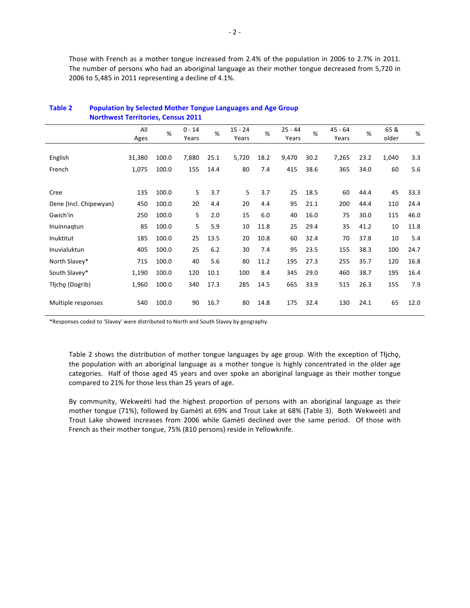Those with French as a mother tongue increased from 2.4% of the population in 2006 to 2.7% in 2011. The number of persons who had an aboriginal language as their mother tongue decreased from 5,720 in 2006 to 5,485 in 2011 representing a decline of 4.1%.

| <b>Northwest Territories, Census 2011</b> |             |       |                   |      |                    |      |                    |      |                    |      |               |      |
|-------------------------------------------|-------------|-------|-------------------|------|--------------------|------|--------------------|------|--------------------|------|---------------|------|
|                                           | All<br>Ages | %     | $0 - 14$<br>Years | %    | $15 - 24$<br>Years | %    | $25 - 44$<br>Years | %    | $45 - 64$<br>Years | %    | 65 &<br>older | %    |
|                                           |             |       |                   |      |                    |      |                    |      |                    |      |               |      |
| English                                   | 31,380      | 100.0 | 7,880             | 25.1 | 5,720              | 18.2 | 9,470              | 30.2 | 7,265              | 23.2 | 1,040         | 3.3  |
| French                                    | 1,075       | 100.0 | 155               | 14.4 | 80                 | 7.4  | 415                | 38.6 | 365                | 34.0 | 60            | 5.6  |
|                                           |             |       |                   |      |                    |      |                    |      |                    |      |               |      |
| Cree                                      | 135         | 100.0 | 5                 | 3.7  | 5                  | 3.7  | 25                 | 18.5 | 60                 | 44.4 | 45            | 33.3 |
| Dene (Incl. Chipewyan)                    | 450         | 100.0 | 20                | 4.4  | 20                 | 4.4  | 95                 | 21.1 | 200                | 44.4 | 110           | 24.4 |
| Gwich'in                                  | 250         | 100.0 | 5                 | 2.0  | 15                 | 6.0  | 40                 | 16.0 | 75                 | 30.0 | 115           | 46.0 |
| Inuinnagtun                               | 85          | 100.0 | 5                 | 5.9  | 10                 | 11.8 | 25                 | 29.4 | 35                 | 41.2 | 10            | 11.8 |
| Inuktitut                                 | 185         | 100.0 | 25                | 13.5 | 20                 | 10.8 | 60                 | 32.4 | 70                 | 37.8 | 10            | 5.4  |
| Inuvialuktun                              | 405         | 100.0 | 25                | 6.2  | 30                 | 7.4  | 95                 | 23.5 | 155                | 38.3 | 100           | 24.7 |
| North Slavey*                             | 715         | 100.0 | 40                | 5.6  | 80                 | 11.2 | 195                | 27.3 | 255                | 35.7 | 120           | 16.8 |
| South Slavey*                             | 1,190       | 100.0 | 120               | 10.1 | 100                | 8.4  | 345                | 29.0 | 460                | 38.7 | 195           | 16.4 |
| Tłicho (Dogrib)                           | 1,960       | 100.0 | 340               | 17.3 | 285                | 14.5 | 665                | 33.9 | 515                | 26.3 | 155           | 7.9  |
| Multiple responses                        | 540         | 100.0 | 90                | 16.7 | 80                 | 14.8 | 175                | 32.4 | 130                | 24.1 | 65            | 12.0 |

## Table 2 **Population by Selected Mother Tongue Languages and Age Group**

\*Responses coded to 'Slavey' were distributed to North and South Slavey by geography.

Table 2 shows the distribution of mother tongue languages by age group. With the exception of Tłicho, the population with an aboriginal language as a mother tongue is highly concentrated in the older age categories. Half of those aged 45 years and over spoke an aboriginal language as their mother tongue compared to 21% for those less than 25 years of age.

By community, Wekweeti had the highest proportion of persons with an aboriginal language as their mother tongue (71%), followed by Gamètì at 69% and Trout Lake at 68% (Table 3). Both Wekweètì and Trout Lake showed increases from 2006 while Gamètì declined over the same period. Of those with French as their mother tongue, 75% (810 persons) reside in Yellowknife.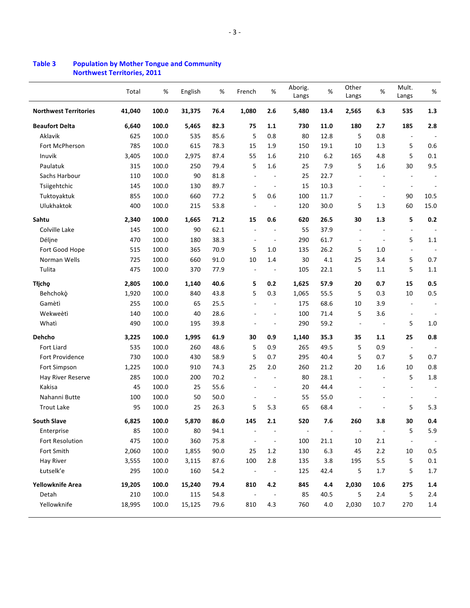|                              | Total  | $\%$  | English | $\%$ | French                   | $\%$                     | Aborig.<br>Langs         | $\%$  | Other<br>Langs           | $\%$                     | Mult.<br>Langs           | $\%$    |
|------------------------------|--------|-------|---------|------|--------------------------|--------------------------|--------------------------|-------|--------------------------|--------------------------|--------------------------|---------|
| <b>Northwest Territories</b> | 41,040 | 100.0 | 31,375  | 76.4 | 1,080                    | 2.6                      | 5,480                    | 13.4  | 2,565                    | 6.3                      | 535                      | 1.3     |
| <b>Beaufort Delta</b>        | 6,640  | 100.0 | 5,465   | 82.3 | 75                       | 1.1                      | 730                      | 11.0  | 180                      | 2.7                      | 185                      | 2.8     |
| Aklavik                      | 625    | 100.0 | 535     | 85.6 | 5                        | 0.8                      | 80                       | 12.8  | 5                        | 0.8                      | $\blacksquare$           |         |
| Fort McPherson               | 785    | 100.0 | 615     | 78.3 | 15                       | 1.9                      | 150                      | 19.1  | 10                       | 1.3                      | 5                        | 0.6     |
| Inuvik                       | 3,405  | 100.0 | 2,975   | 87.4 | 55                       | 1.6                      | 210                      | 6.2   | 165                      | 4.8                      | 5                        | 0.1     |
| Paulatuk                     | 315    | 100.0 | 250     | 79.4 | 5                        | 1.6                      | 25                       | 7.9   | 5                        | 1.6                      | 30                       | 9.5     |
| Sachs Harbour                | 110    | 100.0 | 90      | 81.8 | $\overline{\phantom{a}}$ | $\overline{\phantom{a}}$ | 25                       | 22.7  | ä,                       | $\overline{\phantom{a}}$ | $\overline{\phantom{a}}$ |         |
| Tsiigehtchic                 | 145    | 100.0 | 130     | 89.7 | ٠                        |                          | 15                       | 10.3  |                          | ÷,                       | $\overline{\phantom{a}}$ |         |
| Tuktoyaktuk                  | 855    | 100.0 | 660     | 77.2 | 5                        | 0.6                      | 100                      | 11.7  | $\overline{\phantom{a}}$ | $\overline{\phantom{m}}$ | 90                       | 10.5    |
| Ulukhaktok                   | 400    | 100.0 | 215     | 53.8 | $\overline{\phantom{a}}$ |                          | 120                      | 30.0  | 5                        | 1.3                      | 60                       | 15.0    |
| Sahtu                        | 2,340  | 100.0 | 1,665   | 71.2 | 15                       | 0.6                      | 620                      | 26.5  | 30                       | 1.3                      | 5                        | 0.2     |
| Colville Lake                | 145    | 100.0 | 90      | 62.1 | $\overline{a}$           |                          | 55                       | 37.9  |                          |                          | ÷,                       |         |
| Déljne                       | 470    | 100.0 | 180     | 38.3 | $\overline{\phantom{a}}$ | $\overline{\phantom{a}}$ | 290                      | 61.7  | $\overline{a}$           | $\overline{\phantom{a}}$ | 5                        | 1.1     |
| Fort Good Hope               | 515    | 100.0 | 365     | 70.9 | 5                        | 1.0                      | 135                      | 26.2  | 5                        | 1.0                      | $\Box$                   |         |
| Norman Wells                 | 725    | 100.0 | 660     | 91.0 | 10                       | 1.4                      | 30                       | 4.1   | 25                       | 3.4                      | 5                        | 0.7     |
| Tulita                       | 475    | 100.0 | 370     | 77.9 | $\overline{\phantom{a}}$ |                          | 105                      | 22.1  | 5                        | 1.1                      | 5                        | $1.1\,$ |
| Tłįchę                       | 2,805  | 100.0 | 1,140   | 40.6 | 5                        | 0.2                      | 1,625                    | 57.9  | 20                       | 0.7                      | 15                       | 0.5     |
| Behchokò                     | 1,920  | 100.0 | 840     | 43.8 | 5                        | 0.3                      | 1,065                    | 55.5  | 5                        | 0.3                      | 10                       | 0.5     |
| Gamètì                       | 255    | 100.0 | 65      | 25.5 | $\overline{\phantom{a}}$ |                          | 175                      | 68.6  | 10                       | 3.9                      | $\overline{\phantom{a}}$ |         |
| Wekweètì                     | 140    | 100.0 | 40      | 28.6 |                          |                          | 100                      | 71.4  | 5                        | 3.6                      | ÷                        |         |
| Whati                        | 490    | 100.0 | 195     | 39.8 |                          |                          | 290                      | 59.2  | $\overline{\phantom{a}}$ | $\overline{a}$           | 5                        | $1.0\,$ |
| Dehcho                       | 3,225  | 100.0 | 1,995   | 61.9 | 30                       | 0.9                      | 1,140                    | 35.3  | 35                       | 1.1                      | 25                       | 0.8     |
| <b>Fort Liard</b>            | 535    | 100.0 | 260     | 48.6 | 5                        | 0.9                      | 265                      | 49.5  | 5                        | 0.9                      | $\overline{\phantom{a}}$ |         |
| Fort Providence              | 730    | 100.0 | 430     | 58.9 | 5                        | 0.7                      | 295                      | 40.4  | 5                        | 0.7                      | 5                        | 0.7     |
| Fort Simpson                 | 1,225  | 100.0 | 910     | 74.3 | 25                       | 2.0                      | 260                      | 21.2  | 20                       | 1.6                      | 10                       | 0.8     |
| Hay River Reserve            | 285    | 100.0 | 200     | 70.2 |                          |                          | 80                       | 28.1  |                          |                          | 5                        | 1.8     |
| Kakisa                       | 45     | 100.0 | 25      | 55.6 |                          |                          | 20                       | 44.4  |                          |                          | $\overline{\phantom{a}}$ |         |
| Nahanni Butte                | 100    | 100.0 | 50      | 50.0 | ÷,                       | ÷,                       | 55                       | 55.0  |                          |                          | $\overline{\phantom{m}}$ |         |
| <b>Trout Lake</b>            | 95     | 100.0 | 25      | 26.3 | 5                        | 5.3                      | 65                       | 68.4  |                          |                          | 5                        | 5.3     |
| <b>South Slave</b>           | 6,825  | 100.0 | 5,870   | 86.0 | 145                      | 2.1                      | 520                      | 7.6   | 260                      | 3.8                      | 30                       | 0.4     |
| Enterprise                   | 85     | 100.0 | 80      | 94.1 |                          |                          | $\overline{\phantom{a}}$ |       |                          |                          | 5                        | 5.9     |
| Fort Resolution              | 475    | 100.0 | 360     | 75.8 |                          | $\overline{\phantom{a}}$ | 100                      | 21.1  | 10                       | $2.1\,$                  | ÷                        |         |
| Fort Smith                   | 2,060  | 100.0 | 1,855   | 90.0 | 25                       | 1.2                      | 130                      | $6.3$ | 45                       | $2.2\,$                  | 10                       | 0.5     |
| <b>Hay River</b>             | 3,555  | 100.0 | 3,115   | 87.6 | 100                      | 2.8                      | 135                      | 3.8   | 195                      | $5.5\,$                  | 5                        | $0.1\,$ |
| Łutselk'e                    | 295    | 100.0 | 160     | 54.2 | $\overline{a}$           | $\overline{\phantom{a}}$ | 125                      | 42.4  | 5                        | 1.7                      | 5                        | 1.7     |
| Yellowknife Area             | 19,205 | 100.0 | 15,240  | 79.4 | 810                      | 4.2                      | 845                      | 4.4   | 2,030                    | 10.6                     | 275                      | 1.4     |
| Detah                        | 210    | 100.0 | 115     | 54.8 | $\overline{\phantom{a}}$ |                          | 85                       | 40.5  | 5                        | 2.4                      | 5                        | 2.4     |
| Yellowknife                  | 18,995 | 100.0 | 15,125  | 79.6 | 810                      | 4.3                      | 760                      | 4.0   | 2,030                    | 10.7                     | 270                      | 1.4     |

# **Population by Mother Tongue and Community<br>Northwest Territories, 2011** Table 3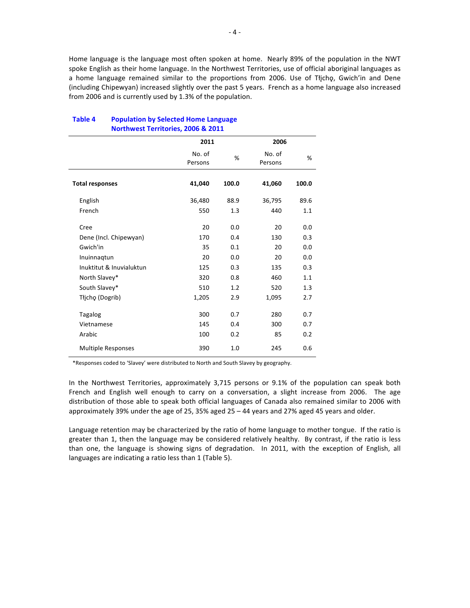Home language is the language most often spoken at home. Nearly 89% of the population in the NWT spoke English as their home language. In the Northwest Territories, use of official aboriginal languages as a home language remained similar to the proportions from 2006. Use of Tłįchę, Gwich'in and Dene (including Chipewyan) increased slightly over the past 5 years. French as a home language also increased from 2006 and is currently used by 1.3% of the population.

| Northwest Territories, 2006 & 2011 |                   |       |                   |       |  |  |  |  |
|------------------------------------|-------------------|-------|-------------------|-------|--|--|--|--|
|                                    | 2011              |       | 2006              |       |  |  |  |  |
|                                    | No. of<br>Persons | %     | No. of<br>Persons | %     |  |  |  |  |
| <b>Total responses</b>             | 41,040            | 100.0 | 41,060            | 100.0 |  |  |  |  |
| English                            | 36,480            | 88.9  | 36,795            | 89.6  |  |  |  |  |
| French                             | 550               | 1.3   | 440               | 1.1   |  |  |  |  |
| Cree                               | 20                | 0.0   | 20                | 0.0   |  |  |  |  |
| Dene (Incl. Chipewyan)             | 170               | 0.4   | 130               | 0.3   |  |  |  |  |
| Gwich'in                           | 35                | 0.1   | 20                | 0.0   |  |  |  |  |
| Inuinnagtun                        | 20                | 0.0   | 20                | 0.0   |  |  |  |  |
| Inuktitut & Inuvialuktun           | 125               | 0.3   | 135               | 0.3   |  |  |  |  |
| North Slavey*                      | 320               | 0.8   | 460               | 1.1   |  |  |  |  |
| South Slavey*                      | 510               | 1.2   | 520               | 1.3   |  |  |  |  |
| Tłįchę (Dogrib)                    | 1,205             | 2.9   | 1,095             | 2.7   |  |  |  |  |
| <b>Tagalog</b>                     | 300               | 0.7   | 280               | 0.7   |  |  |  |  |
| Vietnamese                         | 145               | 0.4   | 300               | 0.7   |  |  |  |  |
| Arabic                             | 100               | 0.2   | 85                | 0.2   |  |  |  |  |
| <b>Multiple Responses</b>          | 390               | 1.0   | 245               | 0.6   |  |  |  |  |

#### **Table 4 Population by Selected Home Language** et Torritorio

\*Responses coded to 'Slavey' were distributed to North and South Slavey by geography.

In the Northwest Territories, approximately 3,715 persons or 9.1% of the population can speak both French and English well enough to carry on a conversation, a slight increase from 2006. The age distribution of those able to speak both official languages of Canada also remained similar to 2006 with approximately 39% under the age of 25, 35% aged 25  $-$  44 years and 27% aged 45 years and older.

Language retention may be characterized by the ratio of home language to mother tongue. If the ratio is greater than 1, then the language may be considered relatively healthy. By contrast, if the ratio is less than one, the language is showing signs of degradation. In 2011, with the exception of English, all languages are indicating a ratio less than 1 (Table 5).